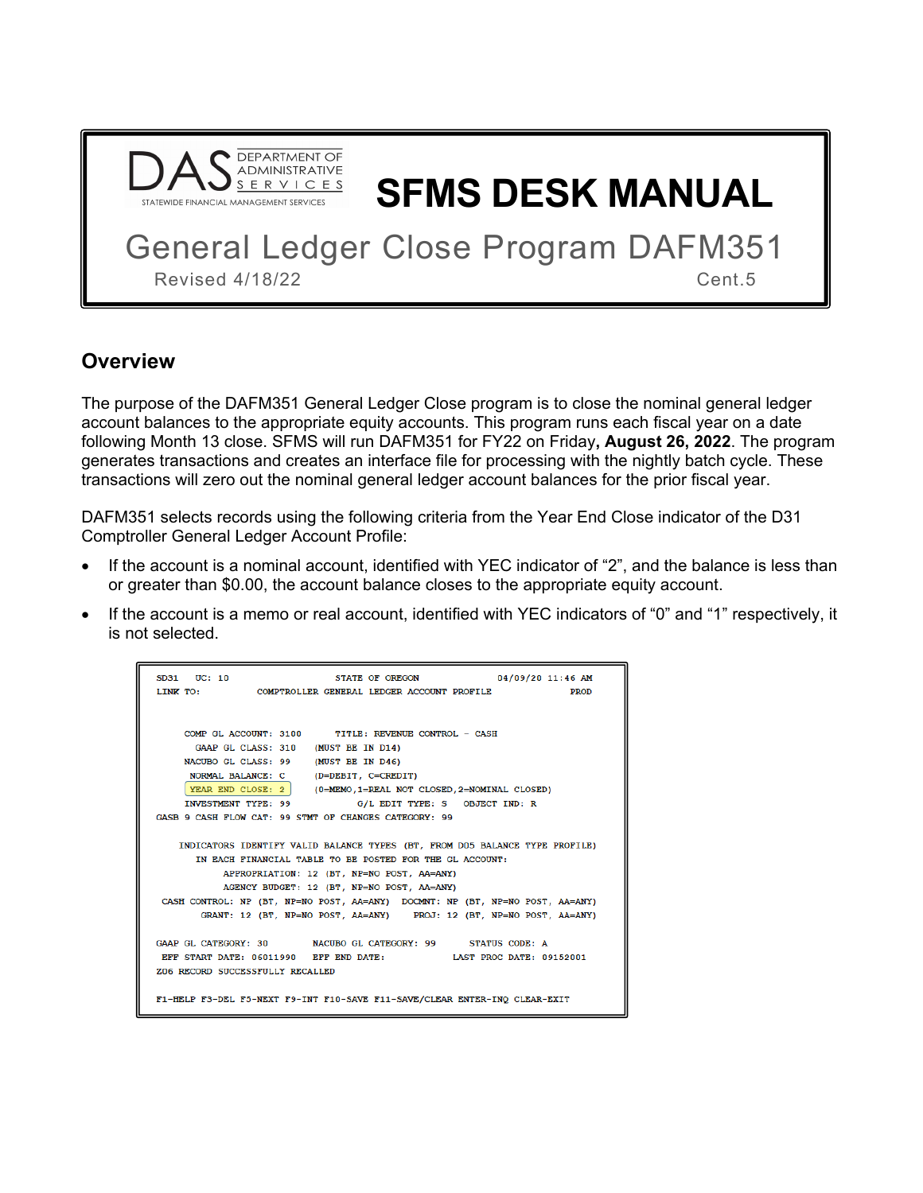

**SFMS DESK MANUAL**

General Ledger Close Program DAFM351 Revised 4/18/22 Cent.5

#### **Overview**

The purpose of the DAFM351 General Ledger Close program is to close the nominal general ledger account balances to the appropriate equity accounts. This program runs each fiscal year on a date following Month 13 close. SFMS will run DAFM351 for FY22 on Friday**, August 26, 2022**. The program generates transactions and creates an interface file for processing with the nightly batch cycle. These transactions will zero out the nominal general ledger account balances for the prior fiscal year.

DAFM351 selects records using the following criteria from the Year End Close indicator of the D31 Comptroller General Ledger Account Profile:

- If the account is a nominal account, identified with YEC indicator of "2", and the balance is less than or greater than \$0.00, the account balance closes to the appropriate equity account.
- If the account is a memo or real account, identified with YEC indicators of "0" and "1" respectively, it is not selected.

| STATE OF OREGON 04/09/20 11:46 AM<br>SD31 UC: 10                              |
|-------------------------------------------------------------------------------|
| LINK TO: COMPTROLLER GENERAL LEDGER ACCOUNT PROFILE FROD                      |
|                                                                               |
|                                                                               |
| COMP GL ACCOUNT: 3100 TITLE: REVENUE CONTROL - CASH                           |
| GAAP GL CLASS: 310 (MUST BE IN D14)                                           |
| NACUBO GL CLASS: 99 (MUST BE IN D46)                                          |
| NORMAL BALANCE: C (D=DEBIT, C=CREDIT)                                         |
| YEAR END CLOSE: 2 (0=MEMO, 1=REAL NOT CLOSED, 2=NOMINAL CLOSED)               |
| INVESTMENT TYPE: 99 G/L EDIT TYPE: S OBJECT IND: R                            |
| GASB 9 CASH FLOW CAT: 99 STMT OF CHANGES CATEGORY: 99                         |
|                                                                               |
| INDICATORS IDENTIFY VALID BALANCE TYPES (BT, FROM D05 BALANCE TYPE PROFILE)   |
| IN EACH FINANCIAL TABLE TO BE POSTED FOR THE GL ACCOUNT:                      |
| APPROPRIATION: 12 (BT, NP=NO POST, AA=ANY)                                    |
| AGENCY BUDGET: 12 (BT, NP=NO POST, AA=ANY)                                    |
| CASH CONTROL: NP (BT, NP=NO POST, AA=ANY) DOCMNT: NP (BT, NP=NO POST, AA=ANY) |
| GRANT: 12 (BT, NP=NO POST, AA=ANY) PROJ: 12 (BT, NP=NO POST, AA=ANY)          |
|                                                                               |
| GAAP GL CATEGORY: 30 NACUBO GL CATEGORY: 99 STATUS CODE: A                    |
| EFF START DATE: 06011990 EFF END DATE: LAST PROC DATE: 09152001               |
| Z06 RECORD SUCCESSFULLY RECALLED                                              |
|                                                                               |
| F1-HELP F3-DEL F5-NEXT F9-INT F10-SAVE F11-SAVE/CLEAR ENTER-INQ CLEAR-EXIT    |
|                                                                               |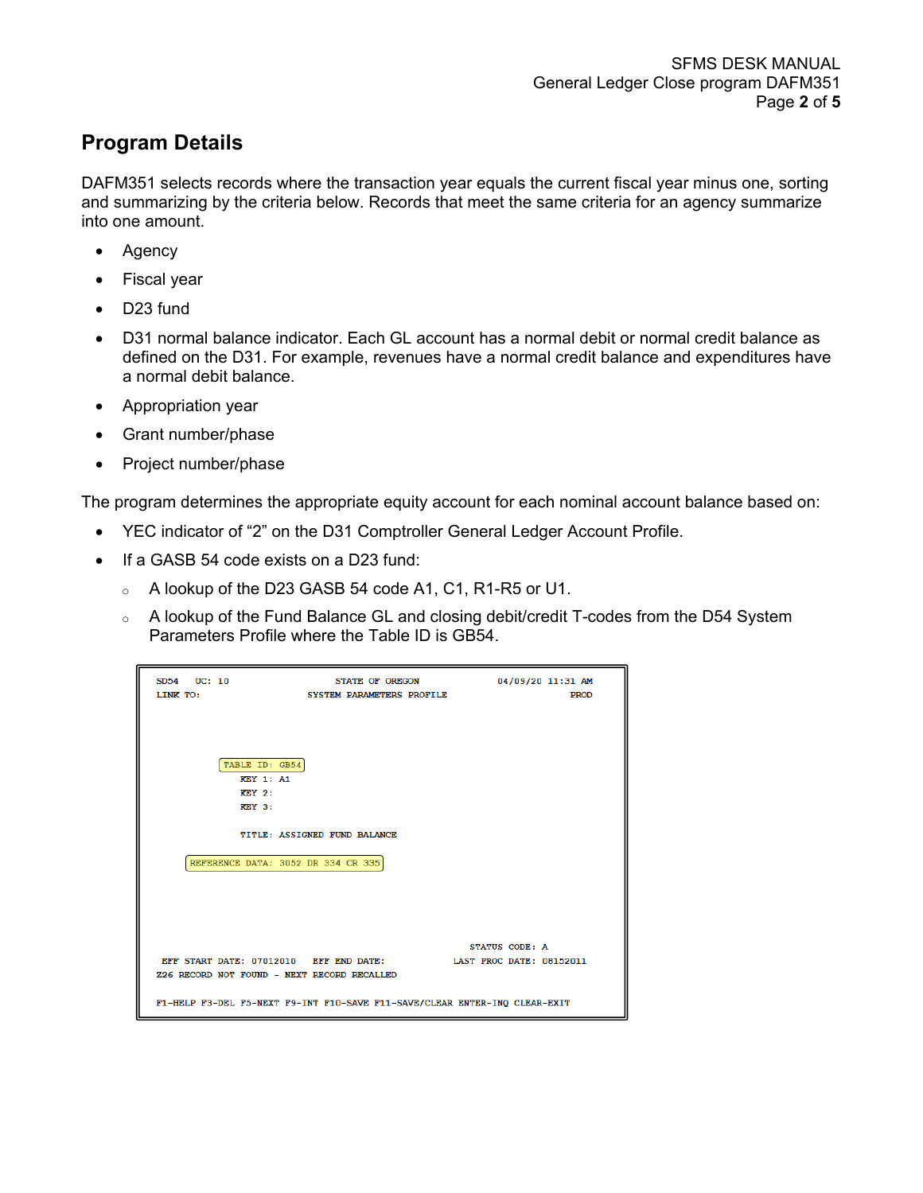## **Program Details**

DAFM351 selects records where the transaction year equals the current fiscal year minus one, sorting and summarizing by the criteria below. Records that meet the same criteria for an agency summarize into one amount.

- Agency
- Fiscal year
- D23 fund
- D31 normal balance indicator. Each GL account has a normal debit or normal credit balance as defined on the D31. For example, revenues have a normal credit balance and expenditures have a normal debit balance.
- Appropriation year
- Grant number/phase
- Project number/phase

The program determines the appropriate equity account for each nominal account balance based on:

- YEC indicator of "2" on the D31 Comptroller General Ledger Account Profile.
- If a GASB 54 code exists on a D23 fund:
	- <sup>o</sup> A lookup of the D23 GASB 54 code A1, C1, R1-R5 or U1.
	- $\circ$  A lookup of the Fund Balance GL and closing debit/credit T-codes from the D54 System Parameters Profile where the Table ID is GB54.

| SD54 UC: 10<br>LINK TO:                                                               | STATE OF OREGON<br>SYSTEM PARAMETERS PROFILE                               | 04/09/20 11:31 AM<br><b>PROD</b> |
|---------------------------------------------------------------------------------------|----------------------------------------------------------------------------|----------------------------------|
| TABLE ID: GB54<br><b>KEY 1: A1</b><br><b>KEY 2:</b><br><b>KEY 3:</b>                  |                                                                            |                                  |
| REFERENCE DATA: 3052 DR 334 CR 335                                                    | TITLE: ASSIGNED FUND BALANCE                                               |                                  |
|                                                                                       |                                                                            |                                  |
|                                                                                       |                                                                            | STATUS CODE: A                   |
| EFF START DATE: 07012010 EFF END DATE:<br>Z26 RECORD NOT FOUND - NEXT RECORD RECALLED |                                                                            | LAST PROC DATE: 08152011         |
|                                                                                       | F1-HELP F3-DEL F5-NEXT F9-INT F10-SAVE F11-SAVE/CLEAR ENTER-INQ CLEAR-EXIT |                                  |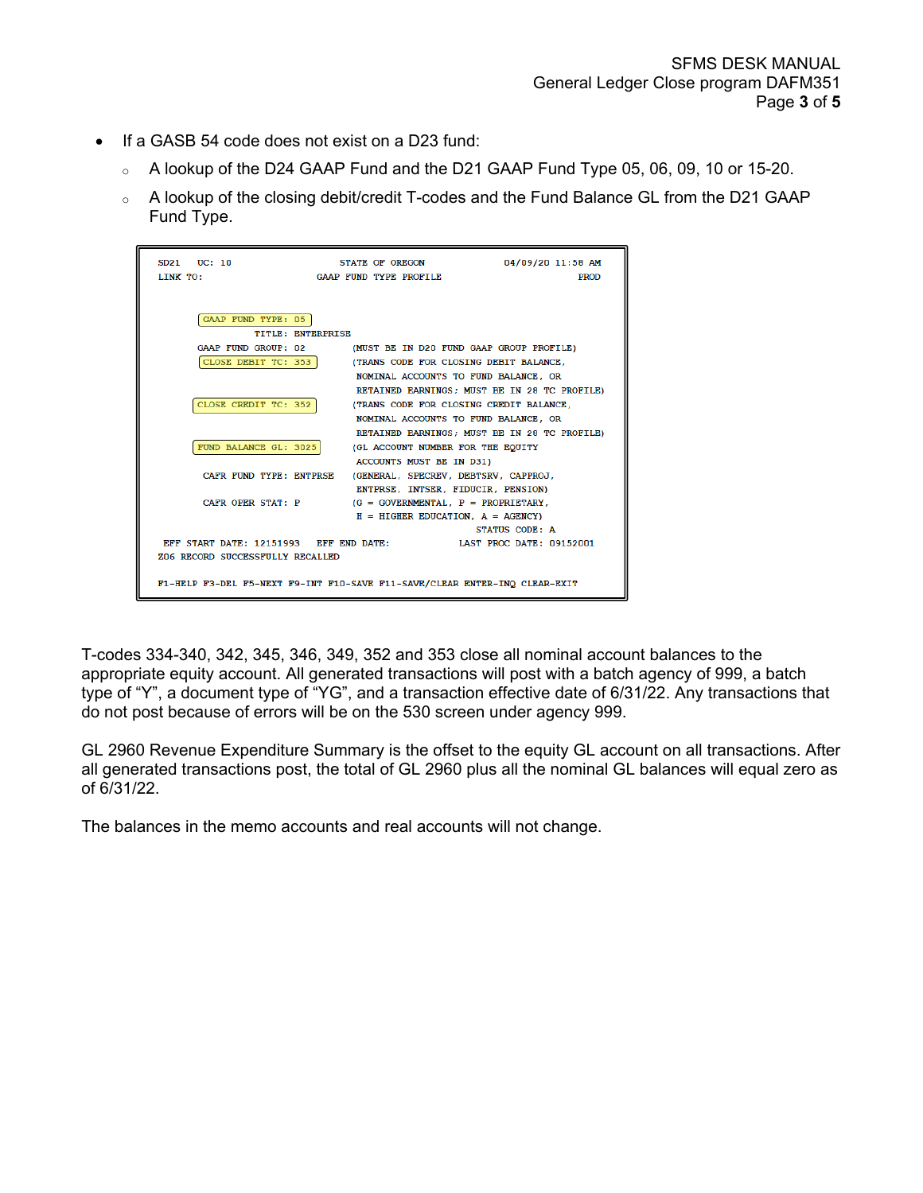- If a GASB 54 code does not exist on a D23 fund:
	- <sup>o</sup> A lookup of the D24 GAAP Fund and the D21 GAAP Fund Type 05, 06, 09, 10 or 15-20.
	- <sup>o</sup> A lookup of the closing debit/credit T-codes and the Fund Balance GL from the D21 GAAP Fund Type.

| SD21 UC: 10<br>LINK TO:                                                                      | STATE OF OREGON<br>GAAP FUND TYPE PROFILE                                                                                                                         | 04/09/20 11:58 AM<br><b>PROD</b>             |
|----------------------------------------------------------------------------------------------|-------------------------------------------------------------------------------------------------------------------------------------------------------------------|----------------------------------------------|
| GAAP FUND TYPE: 05<br><b>TITLE: ENTERPRISE</b><br>GAAP FUND GROUP: 02<br>CLOSE DEBIT TC: 353 | (MUST BE IN D20 FUND GAAP GROUP PROFILE)                                                                                                                          |                                              |
| CLOSE CREDIT TC: 352                                                                         | (TRANS CODE FOR CLOSING DEBIT BALANCE.<br>NOMINAL ACCOUNTS TO FUND BALANCE, OR<br>(TRANS CODE FOR CLOSING CREDIT BALANCE,<br>NOMINAL ACCOUNTS TO FUND BALANCE, OR | RETAINED EARNINGS: MUST BE IN 28 TC PROFILE) |
| FUND BALANCE GL: 3025                                                                        | (GL ACCOUNT NUMBER FOR THE EQUITY<br>ACCOUNTS MUST BE IN D31)                                                                                                     | RETAINED EARNINGS; MUST BE IN 28 TC PROFILE) |
| CAFR FUND TYPE: ENTPRSE<br>CAFR OPER STAT: P                                                 | (GENERAL, SPECREV, DEBTSRV, CAPPROJ,<br>ENTPRSE, INTSER, FIDUCIR, PENSION)<br>$(G = GOVERNMENTAL, P = PROPREETARY,$<br>$H = HIGHER EDUCATION$ , $A = AGENCY$ )    |                                              |
| EFF START DATE: 12151993 EFF END DATE:<br>Z06 RECORD SUCCESSFULLY RECALLED                   |                                                                                                                                                                   | STATUS CODE: A<br>LAST PROC DATE: 09152001   |
|                                                                                              | F1-HELP F3-DEL F5-NEXT F9-INT F10-SAVE F11-SAVE/CLEAR ENTER-INQ CLEAR-EXIT                                                                                        |                                              |

T-codes 334-340, 342, 345, 346, 349, 352 and 353 close all nominal account balances to the appropriate equity account. All generated transactions will post with a batch agency of 999, a batch type of "Y", a document type of "YG", and a transaction effective date of 6/31/22. Any transactions that do not post because of errors will be on the 530 screen under agency 999.

GL 2960 Revenue Expenditure Summary is the offset to the equity GL account on all transactions. After all generated transactions post, the total of GL 2960 plus all the nominal GL balances will equal zero as of 6/31/22.

The balances in the memo accounts and real accounts will not change.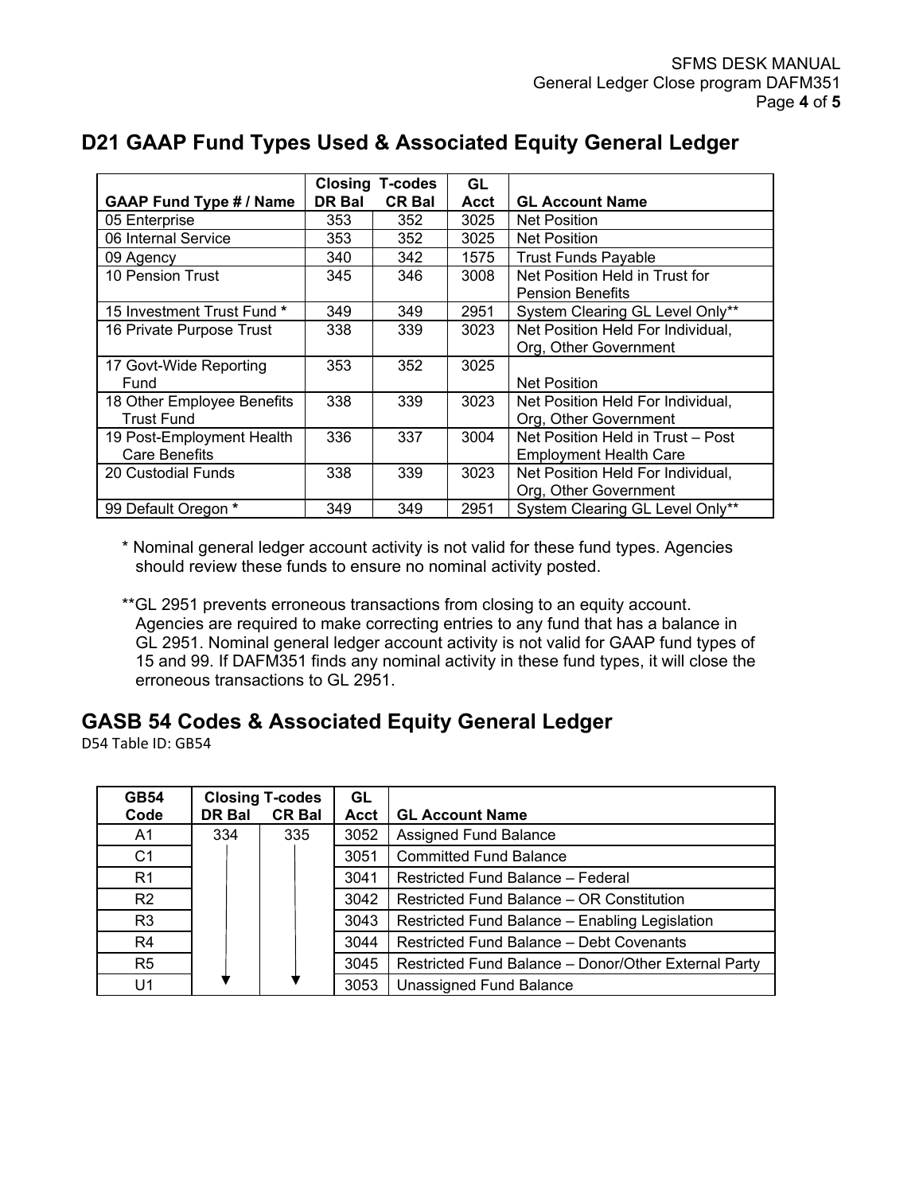|                                |               | <b>Closing T-codes</b> | GL          |                                   |
|--------------------------------|---------------|------------------------|-------------|-----------------------------------|
| <b>GAAP Fund Type # / Name</b> | <b>DR Bal</b> | <b>CR Bal</b>          | <b>Acct</b> | <b>GL Account Name</b>            |
| 05 Enterprise                  | 353           | 352                    | 3025        | <b>Net Position</b>               |
| 06 Internal Service            | 353           | 352                    | 3025        | <b>Net Position</b>               |
| 09 Agency                      | 340           | 342                    | 1575        | <b>Trust Funds Payable</b>        |
| 10 Pension Trust               | 345           | 346                    | 3008        | Net Position Held in Trust for    |
|                                |               |                        |             | <b>Pension Benefits</b>           |
| 15 Investment Trust Fund *     | 349           | 349                    | 2951        | System Clearing GL Level Only**   |
| 16 Private Purpose Trust       | 338           | 339                    | 3023        | Net Position Held For Individual, |
|                                |               |                        |             | Org, Other Government             |
| 17 Govt-Wide Reporting         | 353           | 352                    | 3025        |                                   |
| Fund                           |               |                        |             | <b>Net Position</b>               |
| 18 Other Employee Benefits     | 338           | 339                    | 3023        | Net Position Held For Individual, |
| <b>Trust Fund</b>              |               |                        |             | Org, Other Government             |
| 19 Post-Employment Health      | 336           | 337                    | 3004        | Net Position Held in Trust - Post |
| Care Benefits                  |               |                        |             | <b>Employment Health Care</b>     |
| 20 Custodial Funds             | 338           | 339                    | 3023        | Net Position Held For Individual, |
|                                |               |                        |             | Org, Other Government             |
| 99 Default Oregon *            | 349           | 349                    | 2951        | System Clearing GL Level Only**   |

# **D21 GAAP Fund Types Used & Associated Equity General Ledger**

\* Nominal general ledger account activity is not valid for these fund types. Agencies should review these funds to ensure no nominal activity posted.

\*\*GL 2951 prevents erroneous transactions from closing to an equity account. Agencies are required to make correcting entries to any fund that has a balance in GL 2951. Nominal general ledger account activity is not valid for GAAP fund types of 15 and 99. If DAFM351 finds any nominal activity in these fund types, it will close the erroneous transactions to GL 2951.

### **GASB 54 Codes & Associated Equity General Ledger**

D54 Table ID: GB54

| <b>GB54</b>    |        | <b>Closing T-codes</b> | GL   |                                                      |
|----------------|--------|------------------------|------|------------------------------------------------------|
| Code           | DR Bal | <b>CR Bal</b>          | Acct | <b>GL Account Name</b>                               |
| A <sub>1</sub> | 334    | 335                    | 3052 | Assigned Fund Balance                                |
| C <sub>1</sub> |        |                        | 3051 | <b>Committed Fund Balance</b>                        |
| R <sub>1</sub> |        |                        | 3041 | Restricted Fund Balance - Federal                    |
| R2             |        |                        | 3042 | Restricted Fund Balance - OR Constitution            |
| R <sub>3</sub> |        |                        | 3043 | Restricted Fund Balance - Enabling Legislation       |
| R4             |        |                        | 3044 | <b>Restricted Fund Balance - Debt Covenants</b>      |
| R <sub>5</sub> |        |                        | 3045 | Restricted Fund Balance - Donor/Other External Party |
| U1             |        |                        | 3053 | Unassigned Fund Balance                              |